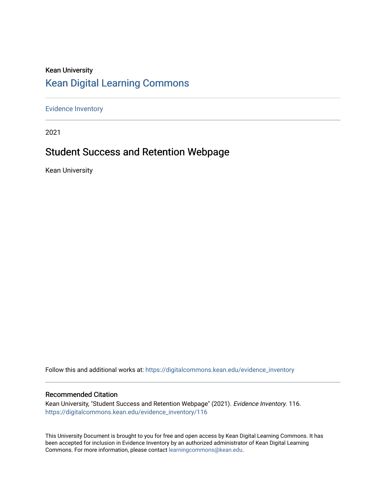### Kean University [Kean Digital Learning Commons](https://digitalcommons.kean.edu/)

[Evidence Inventory](https://digitalcommons.kean.edu/evidence_inventory) 

2021

### Student Success and Retention Webpage

Kean University

Follow this and additional works at: [https://digitalcommons.kean.edu/evidence\\_inventory](https://digitalcommons.kean.edu/evidence_inventory?utm_source=digitalcommons.kean.edu%2Fevidence_inventory%2F116&utm_medium=PDF&utm_campaign=PDFCoverPages)

#### Recommended Citation

Kean University, "Student Success and Retention Webpage" (2021). Evidence Inventory. 116. [https://digitalcommons.kean.edu/evidence\\_inventory/116](https://digitalcommons.kean.edu/evidence_inventory/116?utm_source=digitalcommons.kean.edu%2Fevidence_inventory%2F116&utm_medium=PDF&utm_campaign=PDFCoverPages)

This University Document is brought to you for free and open access by Kean Digital Learning Commons. It has been accepted for inclusion in Evidence Inventory by an authorized administrator of Kean Digital Learning Commons. For more information, please contact [learningcommons@kean.edu.](mailto:learningcommons@kean.edu)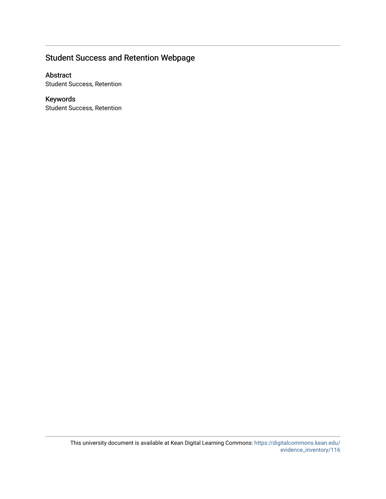### Student Success and Retention Webpage

#### Abstract

Student Success, Retention

### Keywords

Student Success, Retention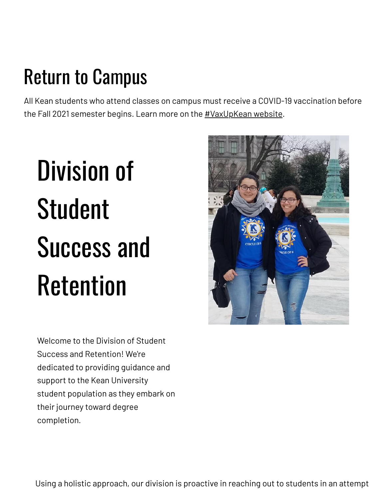## Return to Campus

All Kean students who attend classes on campus must receive a COVID-19 vaccination before the Fall 2021 semester begins. Learn more on the **[#VaxUpKean](https://www.kean.edu/vaxupkean) website**.

# Division of Student Success and Retention



Welcome to the Division of Student Success and Retention! We're dedicated to providing guidance and support to the Kean University student population as they embark on their journey toward degree completion.

Using a holistic approach, our division is proactive in reaching out to students in an attempt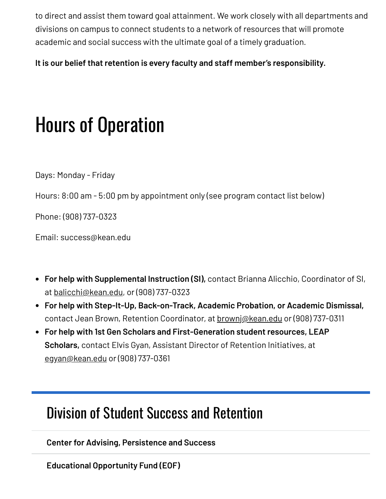to direct and assist them toward goal attainment. We work closely with all departments and divisions on campus to connect students to a network of resources that will promote academic and social success with the ultimate goal of a timely graduation.

**It is our belief that retention is every faculty and staff member's responsibility.**

### Hours of Operation

Days: Monday - Friday

Hours: 8:00 am - 5:00 pm by appointment only (see program contact list below)

Phone: (908) 737-0323

Email: success@kean.edu

- **For help with Supplemental Instruction (SI),** contact Brianna Alicchio, Coordinator of SI, at [balicchi@kean.edu,](mailto:balicchi@kean.edu) or (908) 737-0323
- **For help with Step-It-Up, Back-on-Track, Academic Probation, or Academic Dismissal,** contact Jean Brown, Retention Coordinator, at [brownj@kean.edu](mailto:brownj@kean.edu) or (908) 737-0311
- **For help with 1st Gen Scholars and First-Generation student resources, LEAP Scholars,** contact Elvis Gyan, Assistant Director of Retention Initiatives, at [egyan@kean.edu](mailto:egyan@kean.edu) or (908) 737-0361

### Division of Student Success and [Retention](https://www.kean.edu/offices/student-success-and-retention)

**Center for Advising, [Persistence](https://www.kean.edu/offices/student-success-and-retention/center-advising-persistence-and-success) and Success**

**Educational [Opportunity](https://www.kean.edu/eof) Fund (EOF)**